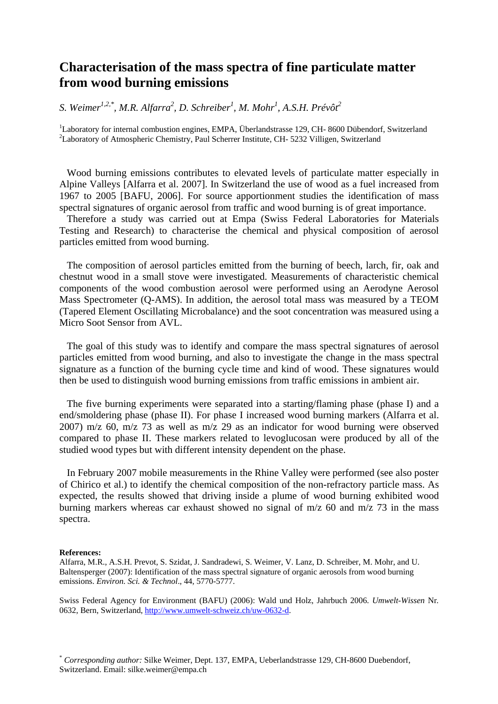# **Characterisation of the mass spectra of fine particulate matter from wood burning emissions**

*S. Weimer1,2,\*, M.R. Alfarra2 , D. Schreiber1 , M. Mohr<sup>1</sup> , A.S.H. Prévôt2*

<sup>1</sup>Laboratory for internal combustion engines, EMPA, Überlandstrasse 129, CH- 8600 Dübendorf, Switzerland <sup>2</sup>Laboratory of Atmospheric Chemistry, Paul Scherrer Institute, CH- 5232 Villigen, Switzerland

Wood burning emissions contributes to elevated levels of particulate matter especially in Alpine Valleys [Alfarra et al. 2007]. In Switzerland the use of wood as a fuel increased from 1967 to 2005 [BAFU, 2006]. For source apportionment studies the identification of mass spectral signatures of organic aerosol from traffic and wood burning is of great importance.

Therefore a study was carried out at Empa (Swiss Federal Laboratories for Materials Testing and Research) to characterise the chemical and physical composition of aerosol particles emitted from wood burning.

The composition of aerosol particles emitted from the burning of beech, larch, fir, oak and chestnut wood in a small stove were investigated. Measurements of characteristic chemical components of the wood combustion aerosol were performed using an Aerodyne Aerosol Mass Spectrometer (Q-AMS). In addition, the aerosol total mass was measured by a TEOM (Tapered Element Oscillating Microbalance) and the soot concentration was measured using a Micro Soot Sensor from AVL.

The goal of this study was to identify and compare the mass spectral signatures of aerosol particles emitted from wood burning, and also to investigate the change in the mass spectral signature as a function of the burning cycle time and kind of wood. These signatures would then be used to distinguish wood burning emissions from traffic emissions in ambient air.

The five burning experiments were separated into a starting/flaming phase (phase I) and a end/smoldering phase (phase II). For phase I increased wood burning markers (Alfarra et al. 2007) m/z 60, m/z 73 as well as m/z 29 as an indicator for wood burning were observed compared to phase II. These markers related to levoglucosan were produced by all of the studied wood types but with different intensity dependent on the phase.

In February 2007 mobile measurements in the Rhine Valley were performed (see also poster of Chirico et al.) to identify the chemical composition of the non-refractory particle mass. As expected, the results showed that driving inside a plume of wood burning exhibited wood burning markers whereas car exhaust showed no signal of m/z 60 and m/z 73 in the mass spectra.

#### **References:**

Alfarra, M.R., A.S.H. Prevot, S. Szidat, J. Sandradewi, S. Weimer, V. Lanz, D. Schreiber, M. Mohr, and U. Baltensperger (2007): Identification of the mass spectral signature of organic aerosols from wood burning emissions. *Environ. Sci. & Technol*., 44, 5770-5777.

Swiss Federal Agency for Environment (BAFU) (2006): Wald und Holz, Jahrbuch 2006. *Umwelt-Wissen* Nr*.* 0632, Bern, Switzerland,<http://www.umwelt-schweiz.ch/uw-0632-d>.